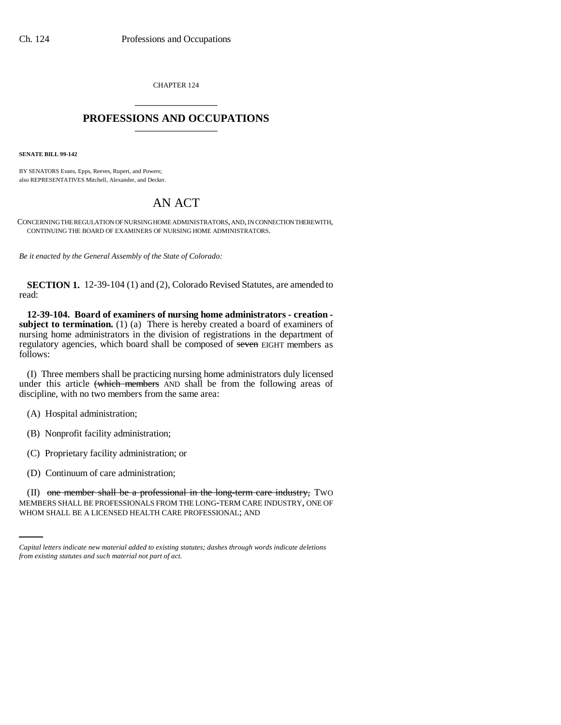CHAPTER 124 \_\_\_\_\_\_\_\_\_\_\_\_\_\_\_

## **PROFESSIONS AND OCCUPATIONS** \_\_\_\_\_\_\_\_\_\_\_\_\_\_\_

**SENATE BILL 99-142** 

BY SENATORS Evans, Epps, Reeves, Rupert, and Powers; also REPRESENTATIVES Mitchell, Alexander, and Decker.

## AN ACT

CONCERNING THE REGULATION OF NURSING HOME ADMINISTRATORS, AND, IN CONNECTION THEREWITH, CONTINUING THE BOARD OF EXAMINERS OF NURSING HOME ADMINISTRATORS.

*Be it enacted by the General Assembly of the State of Colorado:*

**SECTION 1.** 12-39-104 (1) and (2), Colorado Revised Statutes, are amended to read:

**12-39-104. Board of examiners of nursing home administrators - creation subject to termination.** (1) (a) There is hereby created a board of examiners of nursing home administrators in the division of registrations in the department of regulatory agencies, which board shall be composed of seven EIGHT members as follows:

(I) Three members shall be practicing nursing home administrators duly licensed under this article (which members AND shall be from the following areas of discipline, with no two members from the same area:

(A) Hospital administration;

(B) Nonprofit facility administration;

(C) Proprietary facility administration; or

(D) Continuum of care administration;

(II) one member shall be a professional in the long-term care industry, TWO MEMBERS SHALL BE PROFESSIONALS FROM THE LONG-TERM CARE INDUSTRY, ONE OF WHOM SHALL BE A LICENSED HEALTH CARE PROFESSIONAL; AND

*Capital letters indicate new material added to existing statutes; dashes through words indicate deletions from existing statutes and such material not part of act.*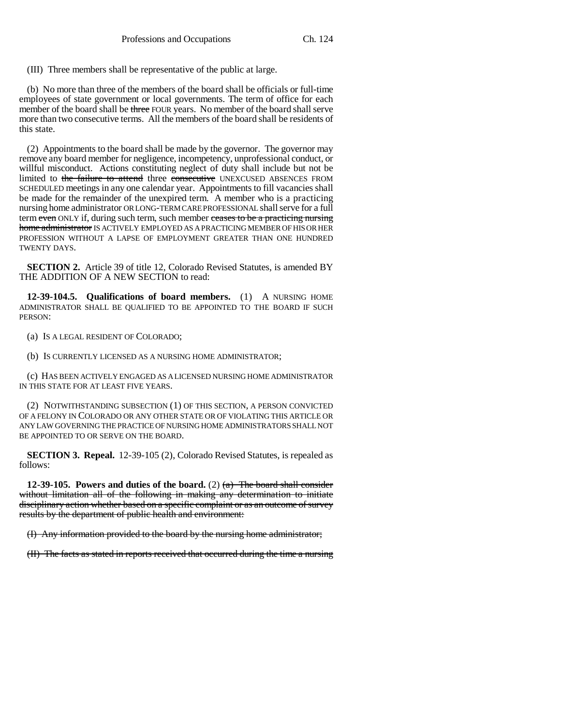(III) Three members shall be representative of the public at large.

(b) No more than three of the members of the board shall be officials or full-time employees of state government or local governments. The term of office for each member of the board shall be three FOUR years. No member of the board shall serve more than two consecutive terms. All the members of the board shall be residents of this state.

(2) Appointments to the board shall be made by the governor. The governor may remove any board member for negligence, incompetency, unprofessional conduct, or willful misconduct. Actions constituting neglect of duty shall include but not be limited to the failure to attend three consecutive UNEXCUSED ABSENCES FROM SCHEDULED meetings in any one calendar year. Appointments to fill vacancies shall be made for the remainder of the unexpired term. A member who is a practicing nursing home administrator OR LONG-TERM CARE PROFESSIONAL shall serve for a full term even ONLY if, during such term, such member ceases to be a practicing nursing home administrator IS ACTIVELY EMPLOYED AS A PRACTICING MEMBER OF HIS OR HER PROFESSION WITHOUT A LAPSE OF EMPLOYMENT GREATER THAN ONE HUNDRED TWENTY DAYS.

**SECTION 2.** Article 39 of title 12, Colorado Revised Statutes, is amended BY THE ADDITION OF A NEW SECTION to read:

**12-39-104.5. Qualifications of board members.** (1) A NURSING HOME ADMINISTRATOR SHALL BE QUALIFIED TO BE APPOINTED TO THE BOARD IF SUCH PERSON:

(a) IS A LEGAL RESIDENT OF COLORADO;

(b) IS CURRENTLY LICENSED AS A NURSING HOME ADMINISTRATOR;

(c) HAS BEEN ACTIVELY ENGAGED AS A LICENSED NURSING HOME ADMINISTRATOR IN THIS STATE FOR AT LEAST FIVE YEARS.

(2) NOTWITHSTANDING SUBSECTION (1) OF THIS SECTION, A PERSON CONVICTED OF A FELONY IN COLORADO OR ANY OTHER STATE OR OF VIOLATING THIS ARTICLE OR ANY LAW GOVERNING THE PRACTICE OF NURSING HOME ADMINISTRATORS SHALL NOT BE APPOINTED TO OR SERVE ON THE BOARD.

**SECTION 3. Repeal.** 12-39-105 (2), Colorado Revised Statutes, is repealed as follows:

**12-39-105. Powers and duties of the board.** (2)  $\left(\frac{a}{b}\right)$  The board shall consider without limitation all of the following in making any determination to initiate disciplinary action whether based on a specific complaint or as an outcome of survey results by the department of public health and environment:

(I) Any information provided to the board by the nursing home administrator;

(II) The facts as stated in reports received that occurred during the time a nursing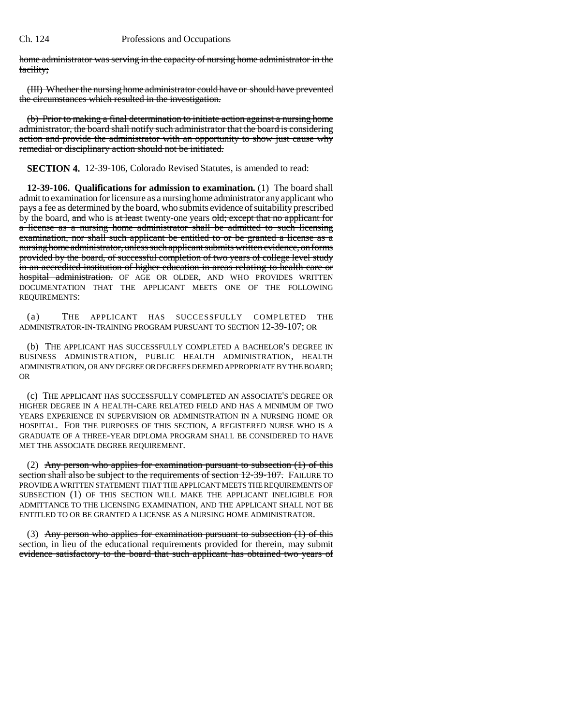home administrator was serving in the capacity of nursing home administrator in the facility;

(III) Whether the nursing home administrator could have or should have prevented the circumstances which resulted in the investigation.

(b) Prior to making a final determination to initiate action against a nursing home administrator, the board shall notify such administrator that the board is considering action and provide the administrator with an opportunity to show just cause why remedial or disciplinary action should not be initiated.

**SECTION 4.** 12-39-106, Colorado Revised Statutes, is amended to read:

**12-39-106. Qualifications for admission to examination.** (1) The board shall admit to examination for licensure as a nursing home administrator any applicant who pays a fee as determined by the board, who submits evidence of suitability prescribed by the board, and who is at least twenty-one years old; except that no applicant for a license as a nursing home administrator shall be admitted to such licensing examination, nor shall such applicant be entitled to or be granted a license as a nursing home administrator, unless such applicant submits written evidence, on forms provided by the board, of successful completion of two years of college level study in an accredited institution of higher education in areas relating to health care or hospital administration. OF AGE OR OLDER, AND WHO PROVIDES WRITTEN DOCUMENTATION THAT THE APPLICANT MEETS ONE OF THE FOLLOWING REQUIREMENTS:

(a) THE APPLICANT HAS SUCCESSFULLY COMPLETED THE ADMINISTRATOR-IN-TRAINING PROGRAM PURSUANT TO SECTION 12-39-107; OR

(b) THE APPLICANT HAS SUCCESSFULLY COMPLETED A BACHELOR'S DEGREE IN BUSINESS ADMINISTRATION, PUBLIC HEALTH ADMINISTRATION, HEALTH ADMINISTRATION, OR ANY DEGREE OR DEGREES DEEMED APPROPRIATE BY THE BOARD; OR

(c) THE APPLICANT HAS SUCCESSFULLY COMPLETED AN ASSOCIATE'S DEGREE OR HIGHER DEGREE IN A HEALTH-CARE RELATED FIELD AND HAS A MINIMUM OF TWO YEARS EXPERIENCE IN SUPERVISION OR ADMINISTRATION IN A NURSING HOME OR HOSPITAL. FOR THE PURPOSES OF THIS SECTION, A REGISTERED NURSE WHO IS A GRADUATE OF A THREE-YEAR DIPLOMA PROGRAM SHALL BE CONSIDERED TO HAVE MET THE ASSOCIATE DEGREE REQUIREMENT.

(2) Any person who applies for examination pursuant to subsection  $(1)$  of this section shall also be subject to the requirements of section 12-39-107. FAILURE TO PROVIDE A WRITTEN STATEMENT THAT THE APPLICANT MEETS THE REQUIREMENTS OF SUBSECTION (1) OF THIS SECTION WILL MAKE THE APPLICANT INELIGIBLE FOR ADMITTANCE TO THE LICENSING EXAMINATION, AND THE APPLICANT SHALL NOT BE ENTITLED TO OR BE GRANTED A LICENSE AS A NURSING HOME ADMINISTRATOR.

(3) Any person who applies for examination pursuant to subsection  $(1)$  of this section, in lieu of the educational requirements provided for therein, may submit evidence satisfactory to the board that such applicant has obtained two years of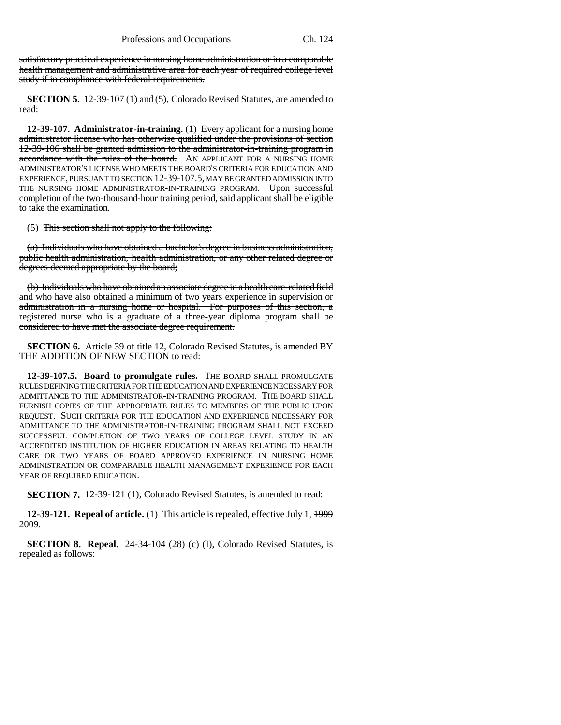satisfactory practical experience in nursing home administration or in a comparable health management and administrative area for each year of required college level study if in compliance with federal requirements.

**SECTION 5.** 12-39-107 (1) and (5), Colorado Revised Statutes, are amended to read:

**12-39-107. Administrator-in-training.** (1) Every applicant for a nursing home administrator license who has otherwise qualified under the provisions of section 12-39-106 shall be granted admission to the administrator-in-training program in accordance with the rules of the board. AN APPLICANT FOR A NURSING HOME ADMINISTRATOR'S LICENSE WHO MEETS THE BOARD'S CRITERIA FOR EDUCATION AND EXPERIENCE, PURSUANT TO SECTION 12-39-107.5, MAY BE GRANTED ADMISSION INTO THE NURSING HOME ADMINISTRATOR-IN-TRAINING PROGRAM. Upon successful completion of the two-thousand-hour training period, said applicant shall be eligible to take the examination.

(5) This section shall not apply to the following:

(a) Individuals who have obtained a bachelor's degree in business administration, public health administration, health administration, or any other related degree or degrees deemed appropriate by the board;

(b) Individuals who have obtained an associate degree in a health care-related field and who have also obtained a minimum of two years experience in supervision or administration in a nursing home or hospital. For purposes of this section, a registered nurse who is a graduate of a three-year diploma program shall be considered to have met the associate degree requirement.

**SECTION 6.** Article 39 of title 12, Colorado Revised Statutes, is amended BY THE ADDITION OF NEW SECTION to read:

**12-39-107.5. Board to promulgate rules.** THE BOARD SHALL PROMULGATE RULES DEFINING THE CRITERIA FOR THE EDUCATION AND EXPERIENCE NECESSARY FOR ADMITTANCE TO THE ADMINISTRATOR-IN-TRAINING PROGRAM. THE BOARD SHALL FURNISH COPIES OF THE APPROPRIATE RULES TO MEMBERS OF THE PUBLIC UPON REQUEST. SUCH CRITERIA FOR THE EDUCATION AND EXPERIENCE NECESSARY FOR ADMITTANCE TO THE ADMINISTRATOR-IN-TRAINING PROGRAM SHALL NOT EXCEED SUCCESSFUL COMPLETION OF TWO YEARS OF COLLEGE LEVEL STUDY IN AN ACCREDITED INSTITUTION OF HIGHER EDUCATION IN AREAS RELATING TO HEALTH CARE OR TWO YEARS OF BOARD APPROVED EXPERIENCE IN NURSING HOME ADMINISTRATION OR COMPARABLE HEALTH MANAGEMENT EXPERIENCE FOR EACH YEAR OF REQUIRED EDUCATION.

**SECTION 7.** 12-39-121 (1), Colorado Revised Statutes, is amended to read:

**12-39-121. Repeal of article.** (1) This article is repealed, effective July 1, 1999 2009.

**SECTION 8. Repeal.** 24-34-104 (28) (c) (I), Colorado Revised Statutes, is repealed as follows: